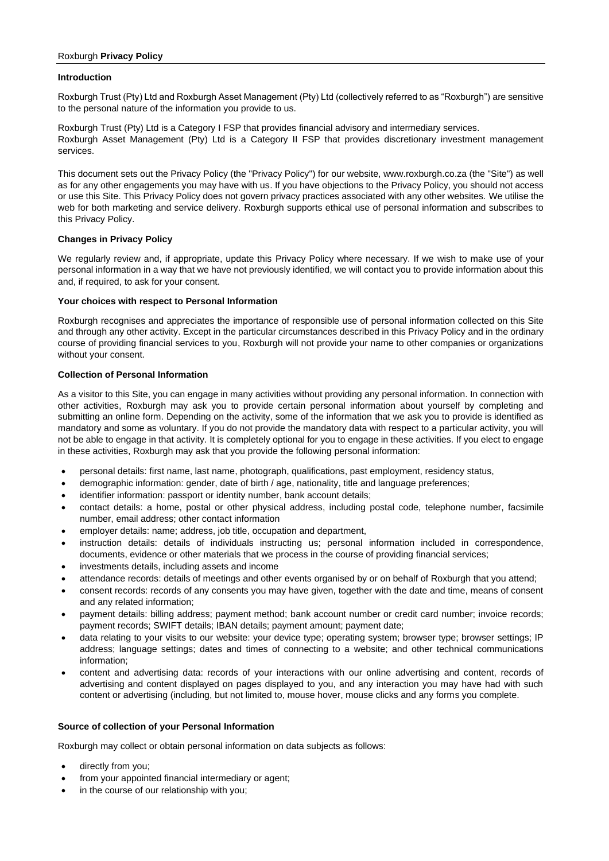## Roxburgh **Privacy Policy**

### **Introduction**

Roxburgh Trust (Pty) Ltd and Roxburgh Asset Management (Pty) Ltd (collectively referred to as "Roxburgh") are sensitive to the personal nature of the information you provide to us.

Roxburgh Trust (Pty) Ltd is a Category I FSP that provides financial advisory and intermediary services. Roxburgh Asset Management (Pty) Ltd is a Category II FSP that provides discretionary investment management services.

This document sets out the Privacy Policy (the "Privacy Policy") for our website, www.roxburgh.co.za (the "Site") as well as for any other engagements you may have with us. If you have objections to the Privacy Policy, you should not access or use this Site. This Privacy Policy does not govern privacy practices associated with any other websites. We utilise the web for both marketing and service delivery. Roxburgh supports ethical use of personal information and subscribes to this Privacy Policy.

## **Changes in Privacy Policy**

We regularly review and, if appropriate, update this Privacy Policy where necessary. If we wish to make use of your personal information in a way that we have not previously identified, we will contact you to provide information about this and, if required, to ask for your consent.

## **Your choices with respect to Personal Information**

Roxburgh recognises and appreciates the importance of responsible use of personal information collected on this Site and through any other activity. Except in the particular circumstances described in this Privacy Policy and in the ordinary course of providing financial services to you, Roxburgh will not provide your name to other companies or organizations without your consent.

## **Collection of Personal Information**

As a visitor to this Site, you can engage in many activities without providing any personal information. In connection with other activities, Roxburgh may ask you to provide certain personal information about yourself by completing and submitting an online form. Depending on the activity, some of the information that we ask you to provide is identified as mandatory and some as voluntary. If you do not provide the mandatory data with respect to a particular activity, you will not be able to engage in that activity. It is completely optional for you to engage in these activities. If you elect to engage in these activities, Roxburgh may ask that you provide the following personal information:

- personal details: first name, last name, photograph, qualifications, past employment, residency status,
- demographic information: gender, date of birth / age, nationality, title and language preferences;
- identifier information: passport or identity number, bank account details;
- contact details: a home, postal or other physical address, including postal code, telephone number, facsimile number, email address; other contact information
- employer details: name; address, job title, occupation and department,
- instruction details: details of individuals instructing us; personal information included in correspondence, documents, evidence or other materials that we process in the course of providing financial services;
- investments details, including assets and income
- attendance records: details of meetings and other events organised by or on behalf of Roxburgh that you attend;
- consent records: records of any consents you may have given, together with the date and time, means of consent and any related information;
- payment details: billing address; payment method; bank account number or credit card number; invoice records; payment records; SWIFT details; IBAN details; payment amount; payment date;
- data relating to your visits to our website: your device type; operating system; browser type; browser settings; IP address; language settings; dates and times of connecting to a website; and other technical communications information;
- content and advertising data: records of your interactions with our online advertising and content, records of advertising and content displayed on pages displayed to you, and any interaction you may have had with such content or advertising (including, but not limited to, mouse hover, mouse clicks and any forms you complete.

#### **Source of collection of your Personal Information**

Roxburgh may collect or obtain personal information on data subjects as follows:

- directly from you;
- from your appointed financial intermediary or agent;
- in the course of our relationship with you;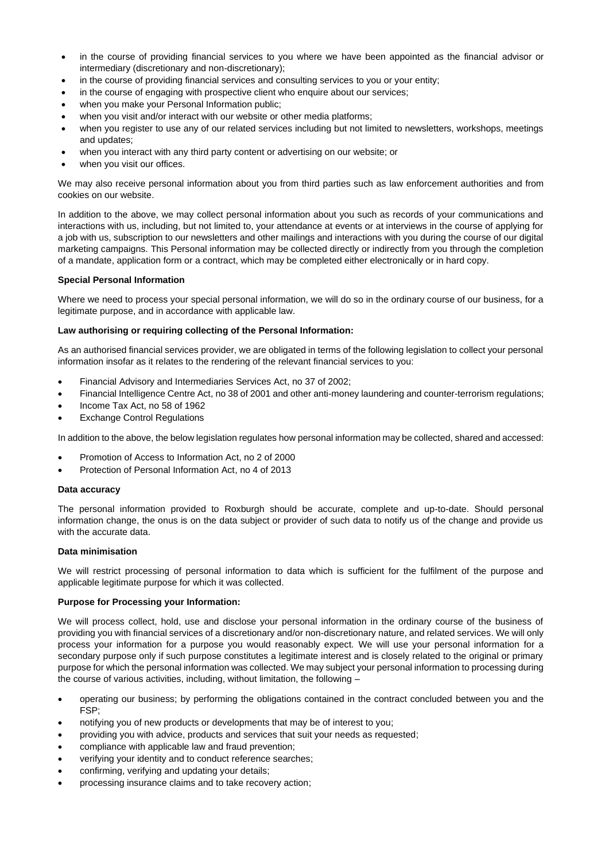- in the course of providing financial services to you where we have been appointed as the financial advisor or intermediary (discretionary and non-discretionary);
- in the course of providing financial services and consulting services to you or your entity;
- in the course of engaging with prospective client who enquire about our services;
- when you make your Personal Information public;
- when you visit and/or interact with our website or other media platforms;
- when you register to use any of our related services including but not limited to newsletters, workshops, meetings and updates;
- when you interact with any third party content or advertising on our website; or
- when you visit our offices.

We may also receive personal information about you from third parties such as law enforcement authorities and from cookies on our website.

In addition to the above, we may collect personal information about you such as records of your communications and interactions with us, including, but not limited to, your attendance at events or at interviews in the course of applying for a job with us, subscription to our newsletters and other mailings and interactions with you during the course of our digital marketing campaigns. This Personal information may be collected directly or indirectly from you through the completion of a mandate, application form or a contract, which may be completed either electronically or in hard copy.

#### **Special Personal Information**

Where we need to process your special personal information, we will do so in the ordinary course of our business, for a legitimate purpose, and in accordance with applicable law.

## **Law authorising or requiring collecting of the Personal Information:**

As an authorised financial services provider, we are obligated in terms of the following legislation to collect your personal information insofar as it relates to the rendering of the relevant financial services to you:

- Financial Advisory and Intermediaries Services Act, no 37 of 2002;
- Financial Intelligence Centre Act, no 38 of 2001 and other anti-money laundering and counter-terrorism regulations;
- Income Tax Act, no 58 of 1962
- **Exchange Control Regulations**

In addition to the above, the below legislation regulates how personal information may be collected, shared and accessed:

- Promotion of Access to Information Act, no 2 of 2000
- Protection of Personal Information Act, no 4 of 2013

#### **Data accuracy**

The personal information provided to Roxburgh should be accurate, complete and up-to-date. Should personal information change, the onus is on the data subject or provider of such data to notify us of the change and provide us with the accurate data.

#### **Data minimisation**

We will restrict processing of personal information to data which is sufficient for the fulfilment of the purpose and applicable legitimate purpose for which it was collected.

#### **Purpose for Processing your Information:**

We will process collect, hold, use and disclose your personal information in the ordinary course of the business of providing you with financial services of a discretionary and/or non-discretionary nature, and related services. We will only process your information for a purpose you would reasonably expect. We will use your personal information for a secondary purpose only if such purpose constitutes a legitimate interest and is closely related to the original or primary purpose for which the personal information was collected. We may subject your personal information to processing during the course of various activities, including, without limitation, the following –

- operating our business; by performing the obligations contained in the contract concluded between you and the FSP;
- notifying you of new products or developments that may be of interest to you;
- providing you with advice, products and services that suit your needs as requested;
- compliance with applicable law and fraud prevention;
- verifying your identity and to conduct reference searches;
- confirming, verifying and updating your details;
- processing insurance claims and to take recovery action;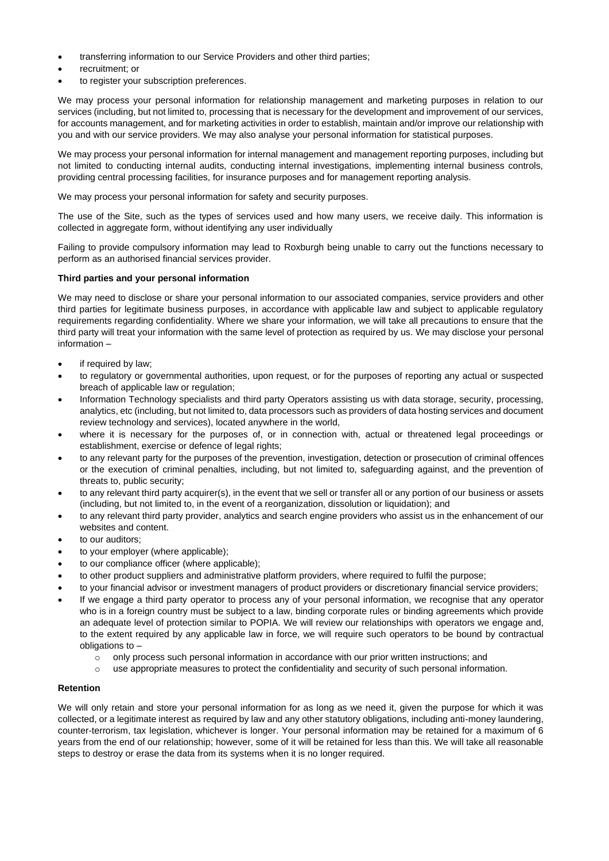- transferring information to our Service Providers and other third parties;
- recruitment; or
- to register your subscription preferences.

We may process your personal information for relationship management and marketing purposes in relation to our services (including, but not limited to, processing that is necessary for the development and improvement of our services, for accounts management, and for marketing activities in order to establish, maintain and/or improve our relationship with you and with our service providers. We may also analyse your personal information for statistical purposes.

We may process your personal information for internal management and management reporting purposes, including but not limited to conducting internal audits, conducting internal investigations, implementing internal business controls, providing central processing facilities, for insurance purposes and for management reporting analysis.

We may process your personal information for safety and security purposes.

The use of the Site, such as the types of services used and how many users, we receive daily. This information is collected in aggregate form, without identifying any user individually

Failing to provide compulsory information may lead to Roxburgh being unable to carry out the functions necessary to perform as an authorised financial services provider.

## **Third parties and your personal information**

We may need to disclose or share your personal information to our associated companies, service providers and other third parties for legitimate business purposes, in accordance with applicable law and subject to applicable regulatory requirements regarding confidentiality. Where we share your information, we will take all precautions to ensure that the third party will treat your information with the same level of protection as required by us. We may disclose your personal information –

- if required by law;
- to regulatory or governmental authorities, upon request, or for the purposes of reporting any actual or suspected breach of applicable law or regulation;
- Information Technology specialists and third party Operators assisting us with data storage, security, processing, analytics, etc (including, but not limited to, data processors such as providers of data hosting services and document review technology and services), located anywhere in the world,
- where it is necessary for the purposes of, or in connection with, actual or threatened legal proceedings or establishment, exercise or defence of legal rights;
- to any relevant party for the purposes of the prevention, investigation, detection or prosecution of criminal offences or the execution of criminal penalties, including, but not limited to, safeguarding against, and the prevention of threats to, public security;
- to any relevant third party acquirer(s), in the event that we sell or transfer all or any portion of our business or assets (including, but not limited to, in the event of a reorganization, dissolution or liquidation); and
- to any relevant third party provider, analytics and search engine providers who assist us in the enhancement of our websites and content.
- to our auditors;
- to your employer (where applicable);
- to our compliance officer (where applicable);
- to other product suppliers and administrative platform providers, where required to fulfil the purpose;
- to your financial advisor or investment managers of product providers or discretionary financial service providers;
- If we engage a third party operator to process any of your personal information, we recognise that any operator who is in a foreign country must be subject to a law, binding corporate rules or binding agreements which provide an adequate level of protection similar to POPIA. We will review our relationships with operators we engage and, to the extent required by any applicable law in force, we will require such operators to be bound by contractual obligations to –
	- $\circ$  only process such personal information in accordance with our prior written instructions; and
	- o use appropriate measures to protect the confidentiality and security of such personal information.

#### **Retention**

We will only retain and store your personal information for as long as we need it, given the purpose for which it was collected, or a legitimate interest as required by law and any other statutory obligations, including anti-money laundering, counter-terrorism, tax legislation, whichever is longer. Your personal information may be retained for a maximum of 6 years from the end of our relationship; however, some of it will be retained for less than this. We will take all reasonable steps to destroy or erase the data from its systems when it is no longer required.